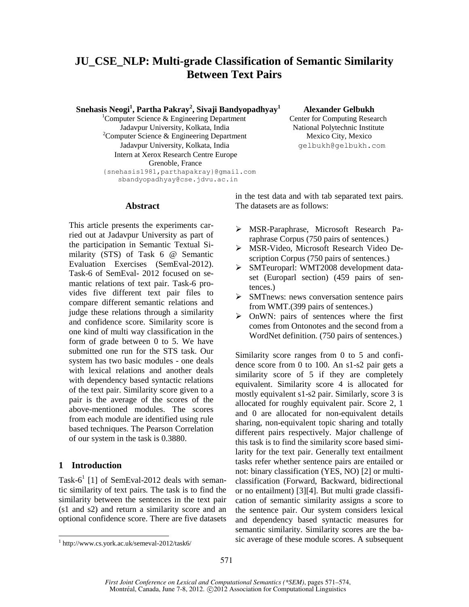# **JU\_CSE\_NLP: Multi-grade Classification of Semantic Similarity Between Text Pairs**

 **Snehasis Neogi<sup>1</sup> , Partha Pakray<sup>2</sup> , Sivaji Bandyopadhyay<sup>1</sup>**

<sup>1</sup>Computer Science & Engineering Department Jadavpur University, Kolkata, India National Polytechnic Institute  $2^2$ Computer Science & Engineering Department Mexico City, Mexico Jadavpur University, Kolkata, India delbukh@gelbukh.com Intern at Xerox Research Centre Europe Grenoble, France {snehasis1981,parthapakray}@gmail.com sbandyopadhyay@cse.jdvu.ac.in

 **Alexander Gelbukh**

Center for Computing Research

**Abstract**

This article presents the experiments carried out at Jadavpur University as part of the participation in Semantic Textual Similarity (STS) of Task 6 @ Semantic Evaluation Exercises (SemEval-2012). Task-6 of SemEval- 2012 focused on semantic relations of text pair. Task-6 provides five different text pair files to compare different semantic relations and judge these relations through a similarity and confidence score. Similarity score is one kind of multi way classification in the form of grade between 0 to 5. We have submitted one run for the STS task. Our system has two basic modules - one deals with lexical relations and another deals with dependency based syntactic relations of the text pair. Similarity score given to a pair is the average of the scores of the above-mentioned modules. The scores from each module are identified using rule based techniques. The Pearson Correlation of our system in the task is 0.3880.

# **1 Introduction**

 $\overline{a}$ 

Task-6<sup>1</sup> [1] of SemEval-2012 deals with semantic similarity of text pairs. The task is to find the similarity between the sentences in the text pair (s1 and s2) and return a similarity score and an optional confidence score. There are five datasets in the test data and with tab separated text pairs. The datasets are as follows:

- MSR-Paraphrase, Microsoft Research Paraphrase Corpus (750 pairs of sentences.)
- MSR-Video, Microsoft Research Video Description Corpus (750 pairs of sentences.)
- SMTeuroparl: WMT2008 development dataset (Europarl section) (459 pairs of sentences.)
- SMTnews: news conversation sentence pairs from WMT.(399 pairs of sentences.)
- OnWN: pairs of sentences where the first comes from Ontonotes and the second from a WordNet definition. (750 pairs of sentences.)

Similarity score ranges from 0 to 5 and confidence score from 0 to 100. An s1-s2 pair gets a similarity score of 5 if they are completely equivalent. Similarity score 4 is allocated for mostly equivalent s1-s2 pair. Similarly, score 3 is allocated for roughly equivalent pair. Score 2, 1 and 0 are allocated for non-equivalent details sharing, non-equivalent topic sharing and totally different pairs respectively. Major challenge of this task is to find the similarity score based similarity for the text pair. Generally text entailment tasks refer whether sentence pairs are entailed or not: binary classification (YES, NO) [2] or multiclassification (Forward, Backward, bidirectional or no entailment) [3][4]. But multi grade classification of semantic similarity assigns a score to the sentence pair. Our system considers lexical and dependency based syntactic measures for semantic similarity. Similarity scores are the basic average of these module scores. A subsequent

<sup>1</sup> http://www.cs.york.ac.uk/semeval-2012/task6/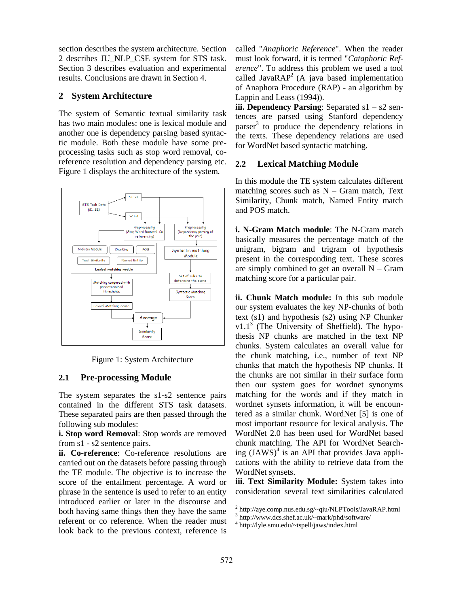section describes the system architecture. Section 2 describes JU\_NLP\_CSE system for STS task. Section 3 describes evaluation and experimental results. Conclusions are drawn in Section 4.

# **2 System Architecture**

The system of Semantic textual similarity task has two main modules: one is lexical module and another one is dependency parsing based syntactic module. Both these module have some preprocessing tasks such as stop word removal, coreference resolution and dependency parsing etc. Figure 1 displays the architecture of the system.



Figure 1: System Architecture

# **2.1 Pre-processing Module**

The system separates the s1-s2 sentence pairs contained in the different STS task datasets. These separated pairs are then passed through the following sub modules:

**i. Stop word Removal**: Stop words are removed from s1 - s2 sentence pairs.

**ii. Co-reference**: Co-reference resolutions are carried out on the datasets before passing through the TE module. The objective is to increase the score of the entailment percentage. A word or phrase in the sentence is used to refer to an entity introduced earlier or later in the discourse and both having same things then they have the same referent or co reference. When the reader must look back to the previous context, reference is called "*Anaphoric Reference*". When the reader must look forward, it is termed "*Cataphoric Reference*". To address this problem we used a tool called Java $RAP^2$  (A java based implementation of Anaphora Procedure (RAP) - an algorithm by Lappin and Leass (1994)).

**iii. Dependency Parsing**: Separated s1 – s2 sentences are parsed using Stanford dependency parser<sup>3</sup> to produce the dependency relations in the texts. These dependency relations are used for WordNet based syntactic matching.

# **2.2 Lexical Matching Module**

In this module the TE system calculates different matching scores such as  $N - Gram$  match, Text Similarity, Chunk match, Named Entity match and POS match.

**i. N-Gram Match module**: The N-Gram match basically measures the percentage match of the unigram, bigram and trigram of hypothesis present in the corresponding text. These scores are simply combined to get an overall  $N - Gram$ matching score for a particular pair.

**ii. Chunk Match module:** In this sub module our system evaluates the key NP-chunks of both text (s1) and hypothesis (s2) using NP Chunker v1.1<sup>3</sup> (The University of Sheffield). The hypothesis NP chunks are matched in the text NP chunks. System calculates an overall value for the chunk matching, i.e., number of text NP chunks that match the hypothesis NP chunks. If the chunks are not similar in their surface form then our system goes for wordnet synonyms matching for the words and if they match in wordnet synsets information, it will be encountered as a similar chunk. WordNet [5] is one of most important resource for lexical analysis. The WordNet 2.0 has been used for WordNet based chunk matching. The API for WordNet Searching  $(JAWS)^4$  is an API that provides Java applications with the ability to retrieve data from the WordNet synsets.

**iii. Text Similarity Module:** System takes into consideration several text similarities calculated

l

<sup>2</sup> http://aye.comp.nus.edu.sg/~qiu/NLPTools/JavaRAP.html

<sup>3</sup> http://www.dcs.shef.ac.uk/~mark/phd/software/

<sup>4</sup> http://lyle.smu.edu/~tspell/jaws/index.html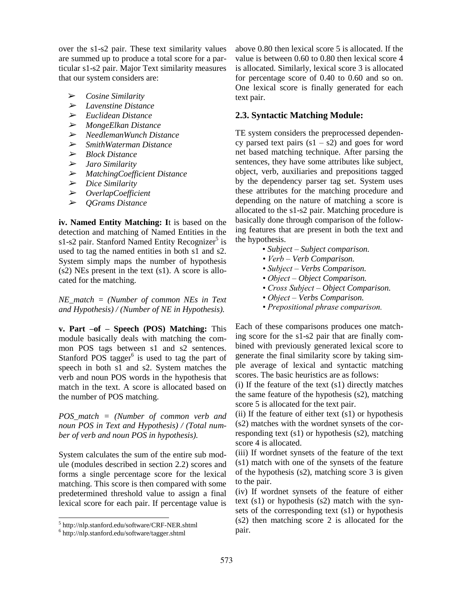over the s1-s2 pair. These text similarity values are summed up to produce a total score for a particular s1-s2 pair. Major Text similarity measures that our system considers are:

- ➢ *Cosine Similarity*
- ➢ *Lavenstine Distance*
- ➢ *Euclidean Distance*
- ➢ *MongeElkan Distance*
- ➢ *NeedlemanWunch Distance*
- ➢ *SmithWaterman Distance*
- ➢ *Block Distance*
- ➢ *Jaro Similarity*
- ➢ *MatchingCoefficient Distance*
- ➢ *Dice Similarity*
- ➢ *OverlapCoefficient*
- ➢ *QGrams Distance*

**iv. Named Entity Matching: I**t is based on the detection and matching of Named Entities in the s1-s2 pair. Stanford Named Entity Recognizer<sup>5</sup> is used to tag the named entities in both s1 and s2. System simply maps the number of hypothesis (s2) NEs present in the text (s1). A score is allocated for the matching.

*NE\_match = (Number of common NEs in Text and Hypothesis) / (Number of NE in Hypothesis).*

**v. Part –of – Speech (POS) Matching:** This module basically deals with matching the common POS tags between s1 and s2 sentences. Stanford POS tagger $<sup>6</sup>$  is used to tag the part of</sup> speech in both s1 and s2. System matches the verb and noun POS words in the hypothesis that match in the text. A score is allocated based on the number of POS matching.

*POS\_match = (Number of common verb and noun POS in Text and Hypothesis) / (Total number of verb and noun POS in hypothesis).*

System calculates the sum of the entire sub module (modules described in section 2.2) scores and forms a single percentage score for the lexical matching. This score is then compared with some predetermined threshold value to assign a final lexical score for each pair. If percentage value is

 $\overline{a}$ 

above 0.80 then lexical score 5 is allocated. If the value is between 0.60 to 0.80 then lexical score 4 is allocated. Similarly, lexical score 3 is allocated for percentage score of 0.40 to 0.60 and so on. One lexical score is finally generated for each text pair.

### **2.3. Syntactic Matching Module:**

TE system considers the preprocessed dependency parsed text pairs  $(s1 - s2)$  and goes for word net based matching technique. After parsing the sentences, they have some attributes like subject, object, verb, auxiliaries and prepositions tagged by the dependency parser tag set. System uses these attributes for the matching procedure and depending on the nature of matching a score is allocated to the s1-s2 pair. Matching procedure is basically done through comparison of the following features that are present in both the text and the hypothesis.

- *Subject – Subject comparison.*
- *Verb – Verb Comparison.*
- *Subject – Verbs Comparison.*
- *Object – Object Comparison.*
- *Cross Subject – Object Comparison.*
- *Object – Verbs Comparison.*
- *Prepositional phrase comparison.*

Each of these comparisons produces one matching score for the s1-s2 pair that are finally combined with previously generated lexical score to generate the final similarity score by taking simple average of lexical and syntactic matching scores. The basic heuristics are as follows:

(i) If the feature of the text (s1) directly matches the same feature of the hypothesis (s2), matching score 5 is allocated for the text pair.

(ii) If the feature of either text  $(s1)$  or hypothesis (s2) matches with the wordnet synsets of the corresponding text (s1) or hypothesis (s2), matching score 4 is allocated.

(iii) If wordnet synsets of the feature of the text (s1) match with one of the synsets of the feature of the hypothesis (s2), matching score 3 is given to the pair.

(iv) If wordnet synsets of the feature of either text (s1) or hypothesis (s2) match with the synsets of the corresponding text (s1) or hypothesis (s2) then matching score 2 is allocated for the pair.

<sup>5</sup> http://nlp.stanford.edu/software/CRF-NER.shtml

<sup>6</sup> http://nlp.stanford.edu/software/tagger.shtml